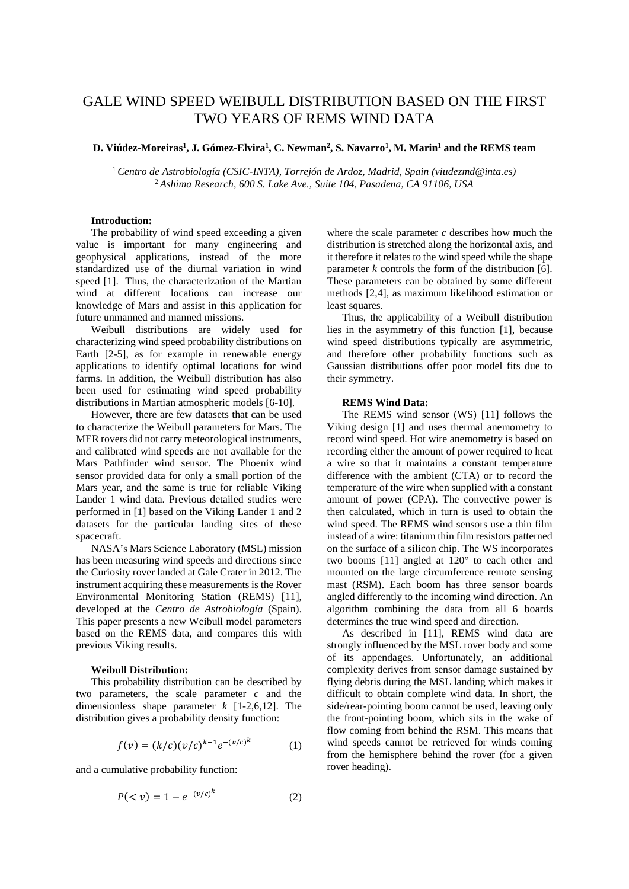# GALE WIND SPEED WEIBULL DISTRIBUTION BASED ON THE FIRST TWO YEARS OF REMS WIND DATA

## **D. Viúdez-Moreiras<sup>1</sup> , J. Gómez-Elvira<sup>1</sup> , C. Newman<sup>2</sup> , S. Navarro<sup>1</sup> , M. Marin<sup>1</sup> and the REMS team**

<sup>1</sup>*Centro de Astrobiología (CSIC-INTA), Torrejón de Ardoz, Madrid, Spain (viudezmd@inta.es)* <sup>2</sup>*Ashima Research, 600 S. Lake Ave., Suite 104, Pasadena, CA 91106, USA*

## **Introduction:**

The probability of wind speed exceeding a given value is important for many engineering and geophysical applications, instead of the more standardized use of the diurnal variation in wind speed [1]. Thus, the characterization of the Martian wind at different locations can increase our knowledge of Mars and assist in this application for future unmanned and manned missions.

Weibull distributions are widely used for characterizing wind speed probability distributions on Earth [2-5], as for example in renewable energy applications to identify optimal locations for wind farms. In addition, the Weibull distribution has also been used for estimating wind speed probability distributions in Martian atmospheric models [6-10].

However, there are few datasets that can be used to characterize the Weibull parameters for Mars. The MER rovers did not carry meteorological instruments, and calibrated wind speeds are not available for the Mars Pathfinder wind sensor. The Phoenix wind sensor provided data for only a small portion of the Mars year, and the same is true for reliable Viking Lander 1 wind data. Previous detailed studies were performed in [1] based on the Viking Lander 1 and 2 datasets for the particular landing sites of these spacecraft.

NASA's Mars Science Laboratory (MSL) mission has been measuring wind speeds and directions since the Curiosity rover landed at Gale Crater in 2012. The instrument acquiring these measurements is the Rover Environmental Monitoring Station (REMS) [11], developed at the *Centro de Astrobiología* (Spain). This paper presents a new Weibull model parameters based on the REMS data, and compares this with previous Viking results.

#### **Weibull Distribution:**

This probability distribution can be described by two parameters, the scale parameter *c* and the dimensionless shape parameter *k* [1-2,6,12]. The distribution gives a probability density function:

$$
f(v) = (k/c)(v/c)^{k-1}e^{-(v/c)^k}
$$
 (1)

and a cumulative probability function:

$$
P(v) = 1 - e^{-(v/c)^k}
$$
 (2)

where the scale parameter *c* describes how much the distribution is stretched along the horizontal axis, and it therefore it relates to the wind speed while the shape parameter *k* controls the form of the distribution [6]. These parameters can be obtained by some different methods [2,4], as maximum likelihood estimation or least squares.

Thus, the applicability of a Weibull distribution lies in the asymmetry of this function [1], because wind speed distributions typically are asymmetric, and therefore other probability functions such as Gaussian distributions offer poor model fits due to their symmetry.

#### **REMS Wind Data:**

The REMS wind sensor (WS) [11] follows the Viking design [1] and uses thermal anemometry to record wind speed. Hot wire anemometry is based on recording either the amount of power required to heat a wire so that it maintains a constant temperature difference with the ambient (CTA) or to record the temperature of the wire when supplied with a constant amount of power (CPA). The convective power is then calculated, which in turn is used to obtain the wind speed. The REMS wind sensors use a thin film instead of a wire: titanium thin film resistors patterned on the surface of a silicon chip. The WS incorporates two booms [11] angled at 120° to each other and mounted on the large circumference remote sensing mast (RSM). Each boom has three sensor boards angled differently to the incoming wind direction. An algorithm combining the data from all 6 boards determines the true wind speed and direction.

As described in [11], REMS wind data are strongly influenced by the MSL rover body and some of its appendages. Unfortunately, an additional complexity derives from sensor damage sustained by flying debris during the MSL landing which makes it difficult to obtain complete wind data. In short, the side/rear-pointing boom cannot be used, leaving only the front-pointing boom, which sits in the wake of flow coming from behind the RSM. This means that wind speeds cannot be retrieved for winds coming from the hemisphere behind the rover (for a given rover heading).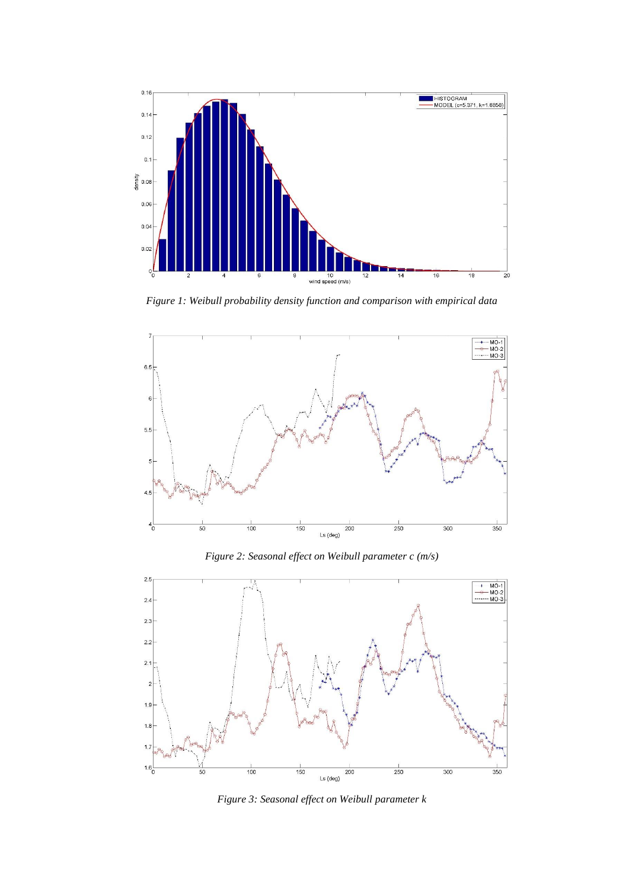

*Figure 1: Weibull probability density function and comparison with empirical data*



*Figure 2: Seasonal effect on Weibull parameter c (m/s)*



*Figure 3: Seasonal effect on Weibull parameter k*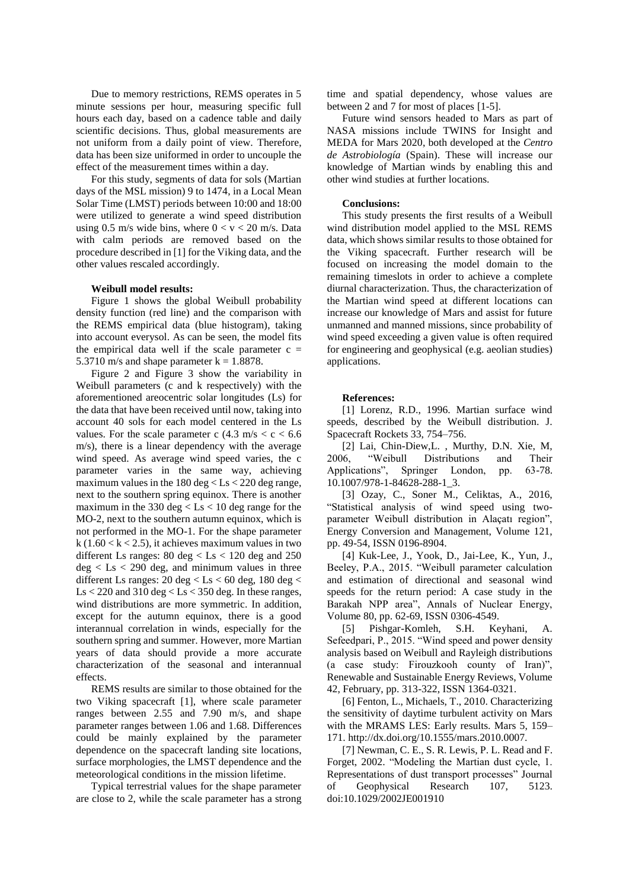Due to memory restrictions, REMS operates in 5 minute sessions per hour, measuring specific full hours each day, based on a cadence table and daily scientific decisions. Thus, global measurements are not uniform from a daily point of view. Therefore, data has been size uniformed in order to uncouple the effect of the measurement times within a day.

For this study, segments of data for sols (Martian days of the MSL mission) 9 to 1474, in a Local Mean Solar Time (LMST) periods between 10:00 and 18:00 were utilized to generate a wind speed distribution using 0.5 m/s wide bins, where  $0 < v < 20$  m/s. Data with calm periods are removed based on the procedure described in [1] for the Viking data, and the other values rescaled accordingly.

#### **Weibull model results:**

Figure 1 shows the global Weibull probability density function (red line) and the comparison with the REMS empirical data (blue histogram), taking into account everysol. As can be seen, the model fits the empirical data well if the scale parameter  $c =$ 5.3710 m/s and shape parameter  $k = 1.8878$ .

Figure 2 and Figure 3 show the variability in Weibull parameters (c and k respectively) with the aforementioned areocentric solar longitudes (Ls) for the data that have been received until now, taking into account 40 sols for each model centered in the Ls values. For the scale parameter c  $(4.3 \text{ m/s} < c < 6.6$ m/s), there is a linear dependency with the average wind speed. As average wind speed varies, the c parameter varies in the same way, achieving maximum values in the  $180 \text{ deg} < Ls < 220 \text{ deg range}$ , next to the southern spring equinox. There is another maximum in the 330 deg < Ls < 10 deg range for the MO-2, next to the southern autumn equinox, which is not performed in the MO-1. For the shape parameter k (1.60  $< k < 2.5$ ), it achieves maximum values in two different Ls ranges:  $80 \text{ deg} < Ls < 120 \text{ deg}$  and  $250$  $deg < Ls < 290$  deg, and minimum values in three different Ls ranges:  $20 \text{ deg} <$  Ls  $<$  60 deg, 180 deg  $<$  $\text{Ls}$  < 220 and 310 deg <  $\text{Ls}$  < 350 deg. In these ranges, wind distributions are more symmetric. In addition, except for the autumn equinox, there is a good interannual correlation in winds, especially for the southern spring and summer. However, more Martian years of data should provide a more accurate characterization of the seasonal and interannual effects.

REMS results are similar to those obtained for the two Viking spacecraft [1], where scale parameter ranges between 2.55 and 7.90 m/s, and shape parameter ranges between 1.06 and 1.68. Differences could be mainly explained by the parameter dependence on the spacecraft landing site locations, surface morphologies, the LMST dependence and the meteorological conditions in the mission lifetime.

Typical terrestrial values for the shape parameter are close to 2, while the scale parameter has a strong time and spatial dependency, whose values are between 2 and 7 for most of places [1-5].

Future wind sensors headed to Mars as part of NASA missions include TWINS for Insight and MEDA for Mars 2020, both developed at the *Centro de Astrobiología* (Spain). These will increase our knowledge of Martian winds by enabling this and other wind studies at further locations.

## **Conclusions:**

This study presents the first results of a Weibull wind distribution model applied to the MSL REMS data, which shows similar results to those obtained for the Viking spacecraft. Further research will be focused on increasing the model domain to the remaining timeslots in order to achieve a complete diurnal characterization. Thus, the characterization of the Martian wind speed at different locations can increase our knowledge of Mars and assist for future unmanned and manned missions, since probability of wind speed exceeding a given value is often required for engineering and geophysical (e.g. aeolian studies) applications.

## **References:**

[1] Lorenz, R.D., 1996. Martian surface wind speeds, described by the Weibull distribution. J. Spacecraft Rockets 33, 754–756.

[2] Lai, Chin-Diew,L. , Murthy, D.N. Xie, M, 2006, "Weibull Distributions and Their Applications", Springer London, pp. 63-78. 10.1007/978-1-84628-288-1\_3.

[3] Ozay, C., Soner M., Celiktas, A., 2016, "Statistical analysis of wind speed using twoparameter Weibull distribution in Alaçatı region", Energy Conversion and Management, Volume 121, pp. 49-54, ISSN 0196-8904.

[4] Kuk-Lee, J., Yook, D., Jai-Lee, K., Yun, J., Beeley, P.A., 2015. "Weibull parameter calculation and estimation of directional and seasonal wind speeds for the return period: A case study in the Barakah NPP area", Annals of Nuclear Energy, Volume 80, pp. 62-69, ISSN 0306-4549.

[5] Pishgar-Komleh, S.H. Keyhani, A. Sefeedpari, P., 2015. "Wind speed and power density analysis based on Weibull and Rayleigh distributions (a case study: Firouzkooh county of Iran)", Renewable and Sustainable Energy Reviews, Volume 42, February, pp. 313-322, ISSN 1364-0321.

[6] Fenton, L., Michaels, T., 2010. Characterizing the sensitivity of daytime turbulent activity on Mars with the MRAMS LES: Early results. Mars 5, 159– 171. http://dx.doi.org/10.1555/mars.2010.0007.

[7] Newman, C. E., S. R. Lewis, P. L. Read and F. Forget, 2002. "Modeling the Martian dust cycle, 1. Representations of dust transport processes" Journal of Geophysical Research 107, 5123. doi:10.1029/2002JE001910